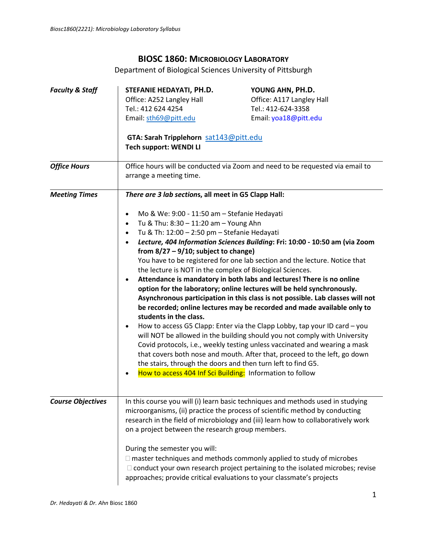# **BIOSC 1860: MICROBIOLOGY LABORATORY**

Department of Biological Sciences University of Pittsburgh

| <b>Faculty &amp; Staff</b> | STEFANIE HEDAYATI, PH.D.<br>Office: A252 Langley Hall                                                                                                  | YOUNG AHN, PH.D.<br>Office: A117 Langley Hall                                                                                                                     |
|----------------------------|--------------------------------------------------------------------------------------------------------------------------------------------------------|-------------------------------------------------------------------------------------------------------------------------------------------------------------------|
|                            | Tel.: 412 624 4254                                                                                                                                     | Tel.: 412-624-3358                                                                                                                                                |
|                            |                                                                                                                                                        | Email: yoa18@pitt.edu                                                                                                                                             |
|                            | Email: sth69@pitt.edu                                                                                                                                  |                                                                                                                                                                   |
|                            | GTA: Sarah Tripplehorn sat143@pitt.edu                                                                                                                 |                                                                                                                                                                   |
|                            | <b>Tech support: WENDI LI</b>                                                                                                                          |                                                                                                                                                                   |
| <b>Office Hours</b>        |                                                                                                                                                        | Office hours will be conducted via Zoom and need to be requested via email to                                                                                     |
|                            | arrange a meeting time.                                                                                                                                |                                                                                                                                                                   |
| <b>Meeting Times</b>       | There are 3 lab sections, all meet in G5 Clapp Hall:                                                                                                   |                                                                                                                                                                   |
|                            | Mo & We: 9:00 - 11:50 am - Stefanie Hedayati<br>٠                                                                                                      |                                                                                                                                                                   |
|                            | Tu & Thu: 8:30 - 11:20 am - Young Ahn<br>$\bullet$                                                                                                     |                                                                                                                                                                   |
|                            | Tu & Th: 12:00 - 2:50 pm - Stefanie Hedayati<br>$\bullet$                                                                                              |                                                                                                                                                                   |
|                            | Lecture, 404 Information Sciences Building: Fri: 10:00 - 10:50 am (via Zoom<br>$\bullet$                                                               |                                                                                                                                                                   |
|                            | from $8/27 - 9/10$ ; subject to change)<br>You have to be registered for one lab section and the lecture. Notice that                                  |                                                                                                                                                                   |
|                            | the lecture is NOT in the complex of Biological Sciences.                                                                                              |                                                                                                                                                                   |
|                            | Attendance is mandatory in both labs and lectures! There is no online<br>$\bullet$                                                                     |                                                                                                                                                                   |
|                            | option for the laboratory; online lectures will be held synchronously.                                                                                 |                                                                                                                                                                   |
|                            | Asynchronous participation in this class is not possible. Lab classes will not                                                                         |                                                                                                                                                                   |
|                            | students in the class.                                                                                                                                 | be recorded; online lectures may be recorded and made available only to                                                                                           |
|                            | $\bullet$                                                                                                                                              |                                                                                                                                                                   |
|                            | How to access G5 Clapp: Enter via the Clapp Lobby, tap your ID card - you<br>will NOT be allowed in the building should you not comply with University |                                                                                                                                                                   |
|                            |                                                                                                                                                        | Covid protocols, i.e., weekly testing unless vaccinated and wearing a mask                                                                                        |
|                            |                                                                                                                                                        | that covers both nose and mouth. After that, proceed to the left, go down                                                                                         |
|                            | the stairs, through the doors and then turn left to find G5.                                                                                           |                                                                                                                                                                   |
|                            | How to access 404 Inf Sci Building: Information to follow<br>٠                                                                                         |                                                                                                                                                                   |
|                            |                                                                                                                                                        |                                                                                                                                                                   |
| <b>Course Objectives</b>   |                                                                                                                                                        | In this course you will (i) learn basic techniques and methods used in studying                                                                                   |
|                            |                                                                                                                                                        | microorganisms, (ii) practice the process of scientific method by conducting<br>research in the field of microbiology and (iii) learn how to collaboratively work |
|                            | on a project between the research group members.                                                                                                       |                                                                                                                                                                   |
|                            | During the semester you will:                                                                                                                          |                                                                                                                                                                   |
|                            |                                                                                                                                                        | $\Box$ master techniques and methods commonly applied to study of microbes                                                                                        |
|                            |                                                                                                                                                        | $\Box$ conduct your own research project pertaining to the isolated microbes; revise                                                                              |
|                            |                                                                                                                                                        | approaches; provide critical evaluations to your classmate's projects                                                                                             |
|                            |                                                                                                                                                        |                                                                                                                                                                   |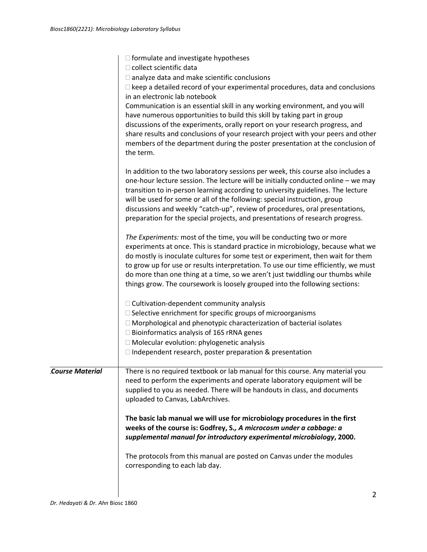|                        | $\Box$ formulate and investigate hypotheses                                                                                                |  |
|------------------------|--------------------------------------------------------------------------------------------------------------------------------------------|--|
|                        | □ collect scientific data                                                                                                                  |  |
|                        | $\Box$ analyze data and make scientific conclusions<br>$\Box$ keep a detailed record of your experimental procedures, data and conclusions |  |
|                        | in an electronic lab notebook                                                                                                              |  |
|                        | Communication is an essential skill in any working environment, and you will                                                               |  |
|                        | have numerous opportunities to build this skill by taking part in group                                                                    |  |
|                        | discussions of the experiments, orally report on your research progress, and                                                               |  |
|                        | share results and conclusions of your research project with your peers and other                                                           |  |
|                        | members of the department during the poster presentation at the conclusion of                                                              |  |
|                        | the term.                                                                                                                                  |  |
|                        | In addition to the two laboratory sessions per week, this course also includes a                                                           |  |
|                        | one-hour lecture session. The lecture will be initially conducted online - we may                                                          |  |
|                        | transition to in-person learning according to university guidelines. The lecture                                                           |  |
|                        | will be used for some or all of the following: special instruction, group                                                                  |  |
|                        | discussions and weekly "catch-up", review of procedures, oral presentations,                                                               |  |
|                        | preparation for the special projects, and presentations of research progress.                                                              |  |
|                        | The Experiments: most of the time, you will be conducting two or more                                                                      |  |
|                        | experiments at once. This is standard practice in microbiology, because what we                                                            |  |
|                        | do mostly is inoculate cultures for some test or experiment, then wait for them                                                            |  |
|                        | to grow up for use or results interpretation. To use our time efficiently, we must                                                         |  |
|                        | do more than one thing at a time, so we aren't just twiddling our thumbs while                                                             |  |
|                        | things grow. The coursework is loosely grouped into the following sections:                                                                |  |
|                        | $\Box$ Cultivation-dependent community analysis                                                                                            |  |
|                        | □ Selective enrichment for specific groups of microorganisms                                                                               |  |
|                        | $\Box$ Morphological and phenotypic characterization of bacterial isolates                                                                 |  |
|                        | $\Box$ Bioinformatics analysis of 16S rRNA genes                                                                                           |  |
|                        | □ Molecular evolution: phylogenetic analysis                                                                                               |  |
|                        | $\Box$ Independent research, poster preparation & presentation                                                                             |  |
| <b>Course Material</b> | There is no required textbook or lab manual for this course. Any material you                                                              |  |
|                        | need to perform the experiments and operate laboratory equipment will be                                                                   |  |
|                        | supplied to you as needed. There will be handouts in class, and documents                                                                  |  |
|                        | uploaded to Canvas, LabArchives.                                                                                                           |  |
|                        | The basic lab manual we will use for microbiology procedures in the first                                                                  |  |
|                        | weeks of the course is: Godfrey, S., A microcosm under a cabbage: a                                                                        |  |
|                        | supplemental manual for introductory experimental microbiology, 2000.                                                                      |  |
|                        | The protocols from this manual are posted on Canvas under the modules                                                                      |  |
|                        | corresponding to each lab day.                                                                                                             |  |
|                        |                                                                                                                                            |  |
|                        | 2                                                                                                                                          |  |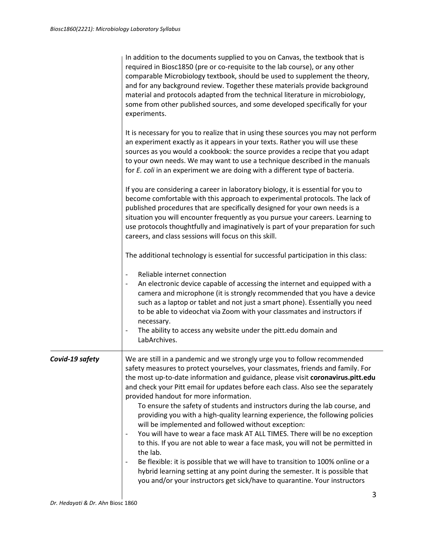|                 | In addition to the documents supplied to you on Canvas, the textbook that is<br>required in Biosc1850 (pre or co-requisite to the lab course), or any other<br>comparable Microbiology textbook, should be used to supplement the theory,<br>and for any background review. Together these materials provide background<br>material and protocols adapted from the technical literature in microbiology,<br>some from other published sources, and some developed specifically for your<br>experiments.                                                                                                                                                                                                                                                                                                                                                                                                                                                                                                                           |
|-----------------|-----------------------------------------------------------------------------------------------------------------------------------------------------------------------------------------------------------------------------------------------------------------------------------------------------------------------------------------------------------------------------------------------------------------------------------------------------------------------------------------------------------------------------------------------------------------------------------------------------------------------------------------------------------------------------------------------------------------------------------------------------------------------------------------------------------------------------------------------------------------------------------------------------------------------------------------------------------------------------------------------------------------------------------|
|                 | It is necessary for you to realize that in using these sources you may not perform<br>an experiment exactly as it appears in your texts. Rather you will use these<br>sources as you would a cookbook: the source provides a recipe that you adapt<br>to your own needs. We may want to use a technique described in the manuals<br>for E. coli in an experiment we are doing with a different type of bacteria.                                                                                                                                                                                                                                                                                                                                                                                                                                                                                                                                                                                                                  |
|                 | If you are considering a career in laboratory biology, it is essential for you to<br>become comfortable with this approach to experimental protocols. The lack of<br>published procedures that are specifically designed for your own needs is a<br>situation you will encounter frequently as you pursue your careers. Learning to<br>use protocols thoughtfully and imaginatively is part of your preparation for such<br>careers, and class sessions will focus on this skill.                                                                                                                                                                                                                                                                                                                                                                                                                                                                                                                                                 |
|                 | The additional technology is essential for successful participation in this class:                                                                                                                                                                                                                                                                                                                                                                                                                                                                                                                                                                                                                                                                                                                                                                                                                                                                                                                                                |
|                 | Reliable internet connection<br>An electronic device capable of accessing the internet and equipped with a<br>camera and microphone (it is strongly recommended that you have a device<br>such as a laptop or tablet and not just a smart phone). Essentially you need<br>to be able to videochat via Zoom with your classmates and instructors if<br>necessary.<br>The ability to access any website under the pitt.edu domain and<br>LabArchives.                                                                                                                                                                                                                                                                                                                                                                                                                                                                                                                                                                               |
| Covid-19 safety | We are still in a pandemic and we strongly urge you to follow recommended<br>safety measures to protect yourselves, your classmates, friends and family. For<br>the most up-to-date information and guidance, please visit coronavirus.pitt.edu<br>and check your Pitt email for updates before each class. Also see the separately<br>provided handout for more information.<br>To ensure the safety of students and instructors during the lab course, and<br>providing you with a high-quality learning experience, the following policies<br>will be implemented and followed without exception:<br>You will have to wear a face mask AT ALL TIMES. There will be no exception<br>to this. If you are not able to wear a face mask, you will not be permitted in<br>the lab.<br>Be flexible: it is possible that we will have to transition to 100% online or a<br>hybrid learning setting at any point during the semester. It is possible that<br>you and/or your instructors get sick/have to quarantine. Your instructors |
|                 |                                                                                                                                                                                                                                                                                                                                                                                                                                                                                                                                                                                                                                                                                                                                                                                                                                                                                                                                                                                                                                   |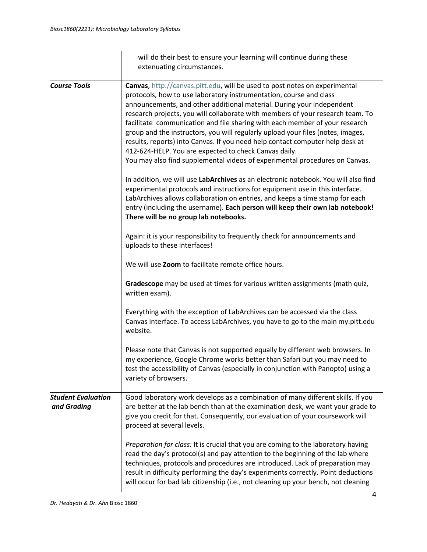|                                          | will do their best to ensure your learning will continue during these<br>extenuating circumstances.                                                                                                                                                                                                                                                                                                                                                                                                                                                                                                                                                                                                    |
|------------------------------------------|--------------------------------------------------------------------------------------------------------------------------------------------------------------------------------------------------------------------------------------------------------------------------------------------------------------------------------------------------------------------------------------------------------------------------------------------------------------------------------------------------------------------------------------------------------------------------------------------------------------------------------------------------------------------------------------------------------|
| <b>Course Tools</b>                      | Canvas, http://canvas.pitt.edu, will be used to post notes on experimental<br>protocols, how to use laboratory instrumentation, course and class<br>announcements, and other additional material. During your independent<br>research projects, you will collaborate with members of your research team. To<br>facilitate communication and file sharing with each member of your research<br>group and the instructors, you will regularly upload your files (notes, images,<br>results, reports) into Canvas. If you need help contact computer help desk at<br>412-624-HELP. You are expected to check Canvas daily.<br>You may also find supplemental videos of experimental procedures on Canvas. |
|                                          | In addition, we will use LabArchives as an electronic notebook. You will also find<br>experimental protocols and instructions for equipment use in this interface.<br>LabArchives allows collaboration on entries, and keeps a time stamp for each<br>entry (including the username). Each person will keep their own lab notebook!<br>There will be no group lab notebooks.                                                                                                                                                                                                                                                                                                                           |
|                                          | Again: it is your responsibility to frequently check for announcements and<br>uploads to these interfaces!                                                                                                                                                                                                                                                                                                                                                                                                                                                                                                                                                                                             |
|                                          | We will use Zoom to facilitate remote office hours.                                                                                                                                                                                                                                                                                                                                                                                                                                                                                                                                                                                                                                                    |
|                                          | Gradescope may be used at times for various written assignments (math quiz,<br>written exam).                                                                                                                                                                                                                                                                                                                                                                                                                                                                                                                                                                                                          |
|                                          | Everything with the exception of LabArchives can be accessed via the class<br>Canvas interface. To access LabArchives, you have to go to the main my.pitt.edu<br>website.                                                                                                                                                                                                                                                                                                                                                                                                                                                                                                                              |
|                                          | Please note that Canvas is not supported equally by different web browsers. In<br>my experience, Google Chrome works better than Safari but you may need to<br>test the accessibility of Canvas (especially in conjunction with Panopto) using a<br>variety of browsers.                                                                                                                                                                                                                                                                                                                                                                                                                               |
| <b>Student Evaluation</b><br>and Grading | Good laboratory work develops as a combination of many different skills. If you<br>are better at the lab bench than at the examination desk, we want your grade to<br>give you credit for that. Consequently, our evaluation of your coursework will<br>proceed at several levels.                                                                                                                                                                                                                                                                                                                                                                                                                     |
|                                          | Preparation for class: It is crucial that you are coming to the laboratory having<br>read the day's protocol(s) and pay attention to the beginning of the lab where<br>techniques, protocols and procedures are introduced. Lack of preparation may<br>result in difficulty performing the day's experiments correctly. Point deductions<br>will occur for bad lab citizenship (i.e., not cleaning up your bench, not cleaning                                                                                                                                                                                                                                                                         |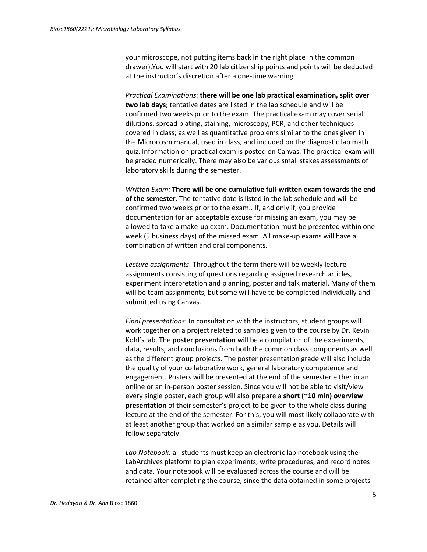your microscope, not putting items back in the right place in the common drawer).You will start with 20 lab citizenship points and points will be deducted at the instructor's discretion after a one-time warning.

*Practical Examinations*: **there will be one lab practical examination, split over two lab days**; tentative dates are listed in the lab schedule and will be confirmed two weeks prior to the exam. The practical exam may cover serial dilutions, spread plating, staining, microscopy, PCR, and other techniques covered in class; as well as quantitative problems similar to the ones given in the Microcosm manual, used in class, and included on the diagnostic lab math quiz. Information on practical exam is posted on Canvas. The practical exam will be graded numerically. There may also be various small stakes assessments of laboratory skills during the semester.

*Written Exam:* **There will be one cumulative full-written exam towards the end of the semester**. The tentative date is listed in the lab schedule and will be confirmed two weeks prior to the exam.. If, and only if, you provide documentation for an acceptable excuse for missing an exam, you may be allowed to take a make-up exam. Documentation must be presented within one week (5 business days) of the missed exam. All make-up exams will have a combination of written and oral components.

*Lecture assignments*: Throughout the term there will be weekly lecture assignments consisting of questions regarding assigned research articles, experiment interpretation and planning, poster and talk material. Many of them will be team assignments, but some will have to be completed individually and submitted using Canvas.

*Final presentations*: In consultation with the instructors, student groups will work together on a project related to samples given to the course by Dr. Kevin Kohl's lab. The **poster presentation** will be a compilation of the experiments, data, results, and conclusions from both the common class components as well as the different group projects. The poster presentation grade will also include the quality of your collaborative work, general laboratory competence and engagement. Posters will be presented at the end of the semester either in an online or an in-person poster session. Since you will not be able to visit/view every single poster, each group will also prepare a **short (~10 min) overview presentation** of their semester's project to be given to the whole class during lecture at the end of the semester. For this, you will most likely collaborate with at least another group that worked on a similar sample as you. Details will follow separately.

*Lab Notebook:* all students must keep an electronic lab notebook using the LabArchives platform to plan experiments, write procedures, and record notes and data. Your notebook will be evaluated across the course and will be retained after completing the course, since the data obtained in some projects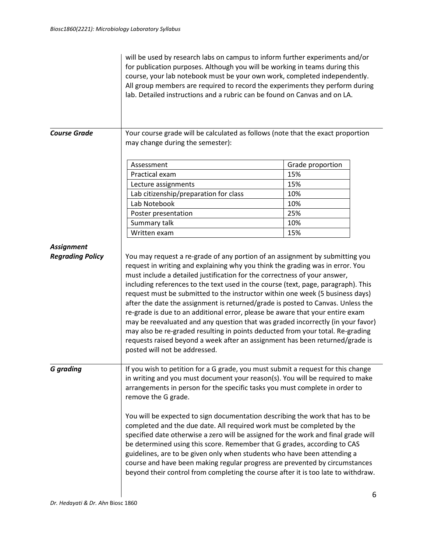|                         | will be used by research labs on campus to inform further experiments and/or<br>for publication purposes. Although you will be working in teams during this<br>course, your lab notebook must be your own work, completed independently.<br>All group members are required to record the experiments they perform during<br>lab. Detailed instructions and a rubric can be found on Canvas and on LA.                                                                                                                                                                                                                                                                                                                                                                                                                                                                      |                  |   |
|-------------------------|----------------------------------------------------------------------------------------------------------------------------------------------------------------------------------------------------------------------------------------------------------------------------------------------------------------------------------------------------------------------------------------------------------------------------------------------------------------------------------------------------------------------------------------------------------------------------------------------------------------------------------------------------------------------------------------------------------------------------------------------------------------------------------------------------------------------------------------------------------------------------|------------------|---|
| <b>Course Grade</b>     | Your course grade will be calculated as follows (note that the exact proportion<br>may change during the semester):                                                                                                                                                                                                                                                                                                                                                                                                                                                                                                                                                                                                                                                                                                                                                        |                  |   |
|                         | Assessment                                                                                                                                                                                                                                                                                                                                                                                                                                                                                                                                                                                                                                                                                                                                                                                                                                                                 | Grade proportion |   |
|                         | Practical exam                                                                                                                                                                                                                                                                                                                                                                                                                                                                                                                                                                                                                                                                                                                                                                                                                                                             | 15%              |   |
|                         | Lecture assignments                                                                                                                                                                                                                                                                                                                                                                                                                                                                                                                                                                                                                                                                                                                                                                                                                                                        | 15%              |   |
|                         | Lab citizenship/preparation for class                                                                                                                                                                                                                                                                                                                                                                                                                                                                                                                                                                                                                                                                                                                                                                                                                                      | 10%              |   |
|                         | Lab Notebook                                                                                                                                                                                                                                                                                                                                                                                                                                                                                                                                                                                                                                                                                                                                                                                                                                                               | 10%              |   |
|                         | Poster presentation                                                                                                                                                                                                                                                                                                                                                                                                                                                                                                                                                                                                                                                                                                                                                                                                                                                        | 25%              |   |
|                         | Summary talk                                                                                                                                                                                                                                                                                                                                                                                                                                                                                                                                                                                                                                                                                                                                                                                                                                                               | 10%              |   |
|                         | Written exam                                                                                                                                                                                                                                                                                                                                                                                                                                                                                                                                                                                                                                                                                                                                                                                                                                                               | 15%              |   |
| <b>Assignment</b>       |                                                                                                                                                                                                                                                                                                                                                                                                                                                                                                                                                                                                                                                                                                                                                                                                                                                                            |                  |   |
| <b>Regrading Policy</b> | You may request a re-grade of any portion of an assignment by submitting you<br>request in writing and explaining why you think the grading was in error. You<br>must include a detailed justification for the correctness of your answer,<br>including references to the text used in the course (text, page, paragraph). This<br>request must be submitted to the instructor within one week (5 business days)<br>after the date the assignment is returned/grade is posted to Canvas. Unless the<br>re-grade is due to an additional error, please be aware that your entire exam<br>may be reevaluated and any question that was graded incorrectly (in your favor)<br>may also be re-graded resulting in points deducted from your total. Re-grading<br>requests raised beyond a week after an assignment has been returned/grade is<br>posted will not be addressed. |                  |   |
| <b>G</b> grading        | If you wish to petition for a G grade, you must submit a request for this change<br>in writing and you must document your reason(s). You will be required to make<br>arrangements in person for the specific tasks you must complete in order to<br>remove the G grade.                                                                                                                                                                                                                                                                                                                                                                                                                                                                                                                                                                                                    |                  |   |
|                         | You will be expected to sign documentation describing the work that has to be<br>completed and the due date. All required work must be completed by the<br>specified date otherwise a zero will be assigned for the work and final grade will<br>be determined using this score. Remember that G grades, according to CAS<br>guidelines, are to be given only when students who have been attending a<br>course and have been making regular progress are prevented by circumstances<br>beyond their control from completing the course after it is too late to withdraw.                                                                                                                                                                                                                                                                                                  |                  |   |
|                         |                                                                                                                                                                                                                                                                                                                                                                                                                                                                                                                                                                                                                                                                                                                                                                                                                                                                            |                  | 6 |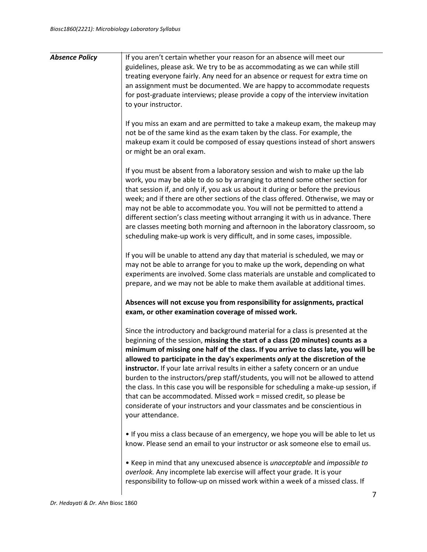| <b>Absence Policy</b> | If you aren't certain whether your reason for an absence will meet our<br>guidelines, please ask. We try to be as accommodating as we can while still<br>treating everyone fairly. Any need for an absence or request for extra time on<br>an assignment must be documented. We are happy to accommodate requests<br>for post-graduate interviews; please provide a copy of the interview invitation<br>to your instructor.                                                                                                                                                                                                                                                                                                                                                       |
|-----------------------|-----------------------------------------------------------------------------------------------------------------------------------------------------------------------------------------------------------------------------------------------------------------------------------------------------------------------------------------------------------------------------------------------------------------------------------------------------------------------------------------------------------------------------------------------------------------------------------------------------------------------------------------------------------------------------------------------------------------------------------------------------------------------------------|
|                       | If you miss an exam and are permitted to take a makeup exam, the makeup may<br>not be of the same kind as the exam taken by the class. For example, the<br>makeup exam it could be composed of essay questions instead of short answers<br>or might be an oral exam.                                                                                                                                                                                                                                                                                                                                                                                                                                                                                                              |
|                       | If you must be absent from a laboratory session and wish to make up the lab<br>work, you may be able to do so by arranging to attend some other section for<br>that session if, and only if, you ask us about it during or before the previous<br>week; and if there are other sections of the class offered. Otherwise, we may or<br>may not be able to accommodate you. You will not be permitted to attend a<br>different section's class meeting without arranging it with us in advance. There<br>are classes meeting both morning and afternoon in the laboratory classroom, so<br>scheduling make-up work is very difficult, and in some cases, impossible.                                                                                                                |
|                       | If you will be unable to attend any day that material is scheduled, we may or<br>may not be able to arrange for you to make up the work, depending on what<br>experiments are involved. Some class materials are unstable and complicated to<br>prepare, and we may not be able to make them available at additional times.                                                                                                                                                                                                                                                                                                                                                                                                                                                       |
|                       | Absences will not excuse you from responsibility for assignments, practical<br>exam, or other examination coverage of missed work.                                                                                                                                                                                                                                                                                                                                                                                                                                                                                                                                                                                                                                                |
|                       | Since the introductory and background material for a class is presented at the<br>beginning of the session, missing the start of a class (20 minutes) counts as a<br>minimum of missing one half of the class. If you arrive to class late, you will be<br>allowed to participate in the day's experiments only at the discretion of the<br>instructor. If your late arrival results in either a safety concern or an undue<br>burden to the instructors/prep staff/students, you will not be allowed to attend<br>the class. In this case you will be responsible for scheduling a make-up session, if<br>that can be accommodated. Missed work = missed credit, so please be<br>considerate of your instructors and your classmates and be conscientious in<br>your attendance. |
|                       | . If you miss a class because of an emergency, we hope you will be able to let us<br>know. Please send an email to your instructor or ask someone else to email us.                                                                                                                                                                                                                                                                                                                                                                                                                                                                                                                                                                                                               |
|                       | • Keep in mind that any unexcused absence is unacceptable and impossible to<br>overlook. Any incomplete lab exercise will affect your grade. It is your<br>responsibility to follow-up on missed work within a week of a missed class. If                                                                                                                                                                                                                                                                                                                                                                                                                                                                                                                                         |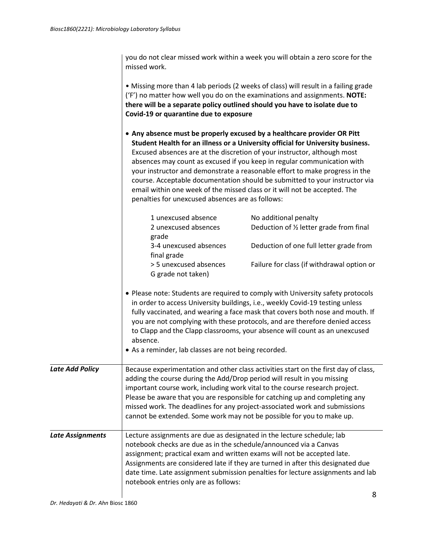you do not clear missed work within a week you will obtain a zero score for the missed work.

|                  | Covid-19 or quarantine due to exposure                                                                                                                                               | • Missing more than 4 lab periods (2 weeks of class) will result in a failing grade<br>('F') no matter how well you do on the examinations and assignments. NOTE:<br>there will be a separate policy outlined should you have to isolate due to                                                                                                                                                                                                                                                                                                              |
|------------------|--------------------------------------------------------------------------------------------------------------------------------------------------------------------------------------|--------------------------------------------------------------------------------------------------------------------------------------------------------------------------------------------------------------------------------------------------------------------------------------------------------------------------------------------------------------------------------------------------------------------------------------------------------------------------------------------------------------------------------------------------------------|
|                  | penalties for unexcused absences are as follows:                                                                                                                                     | • Any absence must be properly excused by a healthcare provider OR Pitt<br>Student Health for an illness or a University official for University business.<br>Excused absences are at the discretion of your instructor, although most<br>absences may count as excused if you keep in regular communication with<br>your instructor and demonstrate a reasonable effort to make progress in the<br>course. Acceptable documentation should be submitted to your instructor via<br>email within one week of the missed class or it will not be accepted. The |
|                  | 1 unexcused absence<br>2 unexcused absences                                                                                                                                          | No additional penalty<br>Deduction of 1/2 letter grade from final                                                                                                                                                                                                                                                                                                                                                                                                                                                                                            |
|                  | grade<br>3-4 unexcused absences<br>final grade                                                                                                                                       | Deduction of one full letter grade from                                                                                                                                                                                                                                                                                                                                                                                                                                                                                                                      |
|                  | > 5 unexcused absences<br>G grade not taken)                                                                                                                                         | Failure for class (if withdrawal option or                                                                                                                                                                                                                                                                                                                                                                                                                                                                                                                   |
|                  | absence.<br>• As a reminder, lab classes are not being recorded.                                                                                                                     | • Please note: Students are required to comply with University safety protocols<br>in order to access University buildings, i.e., weekly Covid-19 testing unless<br>fully vaccinated, and wearing a face mask that covers both nose and mouth. If<br>you are not complying with these protocols, and are therefore denied access<br>to Clapp and the Clapp classrooms, your absence will count as an unexcused                                                                                                                                               |
| Late Add Policy  | adding the course during the Add/Drop period will result in you missing                                                                                                              | Because experimentation and other class activities start on the first day of class,<br>important course work, including work vital to the course research project.<br>Please be aware that you are responsible for catching up and completing any<br>missed work. The deadlines for any project-associated work and submissions<br>cannot be extended. Some work may not be possible for you to make up.                                                                                                                                                     |
| Late Assignments | Lecture assignments are due as designated in the lecture schedule; lab<br>notebook checks are due as in the schedule/announced via a Canvas<br>notebook entries only are as follows: | assignment; practical exam and written exams will not be accepted late.<br>Assignments are considered late if they are turned in after this designated due<br>date time. Late assignment submission penalties for lecture assignments and lab                                                                                                                                                                                                                                                                                                                |
|                  |                                                                                                                                                                                      | Ջ                                                                                                                                                                                                                                                                                                                                                                                                                                                                                                                                                            |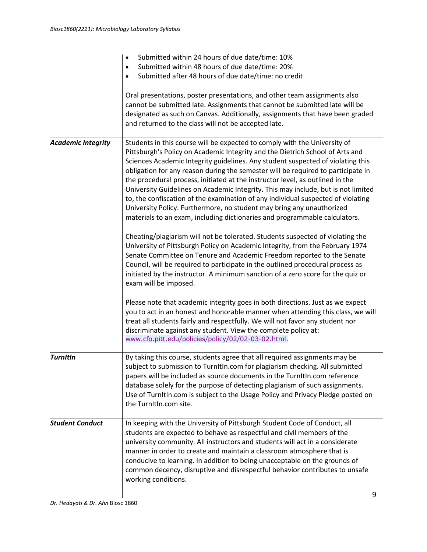|                           | Submitted within 24 hours of due date/time: 10%<br>$\bullet$<br>Submitted within 48 hours of due date/time: 20%<br>$\bullet$<br>Submitted after 48 hours of due date/time: no credit<br>Oral presentations, poster presentations, and other team assignments also<br>cannot be submitted late. Assignments that cannot be submitted late will be<br>designated as such on Canvas. Additionally, assignments that have been graded<br>and returned to the class will not be accepted late.                                                                                                                                                                                                                                                                                                                                                                                                                                                                                                                                                                                                                                                                                                     |   |
|---------------------------|-----------------------------------------------------------------------------------------------------------------------------------------------------------------------------------------------------------------------------------------------------------------------------------------------------------------------------------------------------------------------------------------------------------------------------------------------------------------------------------------------------------------------------------------------------------------------------------------------------------------------------------------------------------------------------------------------------------------------------------------------------------------------------------------------------------------------------------------------------------------------------------------------------------------------------------------------------------------------------------------------------------------------------------------------------------------------------------------------------------------------------------------------------------------------------------------------|---|
| <b>Academic Integrity</b> | Students in this course will be expected to comply with the University of<br>Pittsburgh's Policy on Academic Integrity and the Dietrich School of Arts and<br>Sciences Academic Integrity guidelines. Any student suspected of violating this<br>obligation for any reason during the semester will be required to participate in<br>the procedural process, initiated at the instructor level, as outlined in the<br>University Guidelines on Academic Integrity. This may include, but is not limited<br>to, the confiscation of the examination of any individual suspected of violating<br>University Policy. Furthermore, no student may bring any unauthorized<br>materials to an exam, including dictionaries and programmable calculators.<br>Cheating/plagiarism will not be tolerated. Students suspected of violating the<br>University of Pittsburgh Policy on Academic Integrity, from the February 1974<br>Senate Committee on Tenure and Academic Freedom reported to the Senate<br>Council, will be required to participate in the outlined procedural process as<br>initiated by the instructor. A minimum sanction of a zero score for the quiz or<br>exam will be imposed. |   |
|                           | Please note that academic integrity goes in both directions. Just as we expect<br>you to act in an honest and honorable manner when attending this class, we will<br>treat all students fairly and respectfully. We will not favor any student nor<br>discriminate against any student. View the complete policy at:<br>www.cfo.pitt.edu/policies/policy/02/02-03-02.html.                                                                                                                                                                                                                                                                                                                                                                                                                                                                                                                                                                                                                                                                                                                                                                                                                    |   |
| <b>TurnItIn</b>           | By taking this course, students agree that all required assignments may be<br>subject to submission to TurnItIn.com for plagiarism checking. All submitted<br>papers will be included as source documents in the TurnItIn.com reference<br>database solely for the purpose of detecting plagiarism of such assignments.<br>Use of TurnItIn.com is subject to the Usage Policy and Privacy Pledge posted on<br>the TurnItIn.com site.                                                                                                                                                                                                                                                                                                                                                                                                                                                                                                                                                                                                                                                                                                                                                          |   |
| <b>Student Conduct</b>    | In keeping with the University of Pittsburgh Student Code of Conduct, all<br>students are expected to behave as respectful and civil members of the<br>university community. All instructors and students will act in a considerate<br>manner in order to create and maintain a classroom atmosphere that is<br>conducive to learning. In addition to being unacceptable on the grounds of<br>common decency, disruptive and disrespectful behavior contributes to unsafe<br>working conditions.                                                                                                                                                                                                                                                                                                                                                                                                                                                                                                                                                                                                                                                                                              | 9 |
|                           |                                                                                                                                                                                                                                                                                                                                                                                                                                                                                                                                                                                                                                                                                                                                                                                                                                                                                                                                                                                                                                                                                                                                                                                               |   |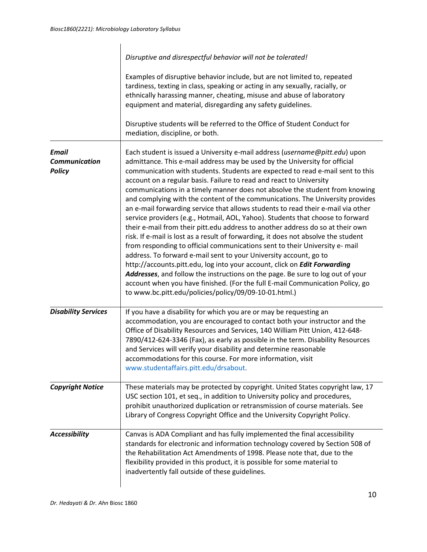|                                                       | Disruptive and disrespectful behavior will not be tolerated!<br>Examples of disruptive behavior include, but are not limited to, repeated<br>tardiness, texting in class, speaking or acting in any sexually, racially, or<br>ethnically harassing manner, cheating, misuse and abuse of laboratory<br>equipment and material, disregarding any safety guidelines.<br>Disruptive students will be referred to the Office of Student Conduct for<br>mediation, discipline, or both.                                                                                                                                                                                                                                                                                                                                                                                                                                                                                                                                                                                                                                                                                                                                                                                                                   |
|-------------------------------------------------------|------------------------------------------------------------------------------------------------------------------------------------------------------------------------------------------------------------------------------------------------------------------------------------------------------------------------------------------------------------------------------------------------------------------------------------------------------------------------------------------------------------------------------------------------------------------------------------------------------------------------------------------------------------------------------------------------------------------------------------------------------------------------------------------------------------------------------------------------------------------------------------------------------------------------------------------------------------------------------------------------------------------------------------------------------------------------------------------------------------------------------------------------------------------------------------------------------------------------------------------------------------------------------------------------------|
| <b>Email</b><br><b>Communication</b><br><b>Policy</b> | Each student is issued a University e-mail address (username@pitt.edu) upon<br>admittance. This e-mail address may be used by the University for official<br>communication with students. Students are expected to read e-mail sent to this<br>account on a regular basis. Failure to read and react to University<br>communications in a timely manner does not absolve the student from knowing<br>and complying with the content of the communications. The University provides<br>an e-mail forwarding service that allows students to read their e-mail via other<br>service providers (e.g., Hotmail, AOL, Yahoo). Students that choose to forward<br>their e-mail from their pitt.edu address to another address do so at their own<br>risk. If e-mail is lost as a result of forwarding, it does not absolve the student<br>from responding to official communications sent to their University e- mail<br>address. To forward e-mail sent to your University account, go to<br>http://accounts.pitt.edu, log into your account, click on <i>Edit Forwarding</i><br>Addresses, and follow the instructions on the page. Be sure to log out of your<br>account when you have finished. (For the full E-mail Communication Policy, go<br>to www.bc.pitt.edu/policies/policy/09/09-10-01.html.) |
| <b>Disability Services</b>                            | If you have a disability for which you are or may be requesting an<br>accommodation, you are encouraged to contact both your instructor and the<br>Office of Disability Resources and Services, 140 William Pitt Union, 412-648-<br>7890/412-624-3346 (Fax), as early as possible in the term. Disability Resources<br>and Services will verify your disability and determine reasonable<br>accommodations for this course. For more information, visit<br>www.studentaffairs.pitt.edu/drsabout.                                                                                                                                                                                                                                                                                                                                                                                                                                                                                                                                                                                                                                                                                                                                                                                                     |
| <b>Copyright Notice</b>                               | These materials may be protected by copyright. United States copyright law, 17<br>USC section 101, et seq., in addition to University policy and procedures,<br>prohibit unauthorized duplication or retransmission of course materials. See<br>Library of Congress Copyright Office and the University Copyright Policy.                                                                                                                                                                                                                                                                                                                                                                                                                                                                                                                                                                                                                                                                                                                                                                                                                                                                                                                                                                            |
| <b>Accessibility</b>                                  | Canvas is ADA Compliant and has fully implemented the final accessibility<br>standards for electronic and information technology covered by Section 508 of<br>the Rehabilitation Act Amendments of 1998. Please note that, due to the<br>flexibility provided in this product, it is possible for some material to<br>inadvertently fall outside of these guidelines.                                                                                                                                                                                                                                                                                                                                                                                                                                                                                                                                                                                                                                                                                                                                                                                                                                                                                                                                |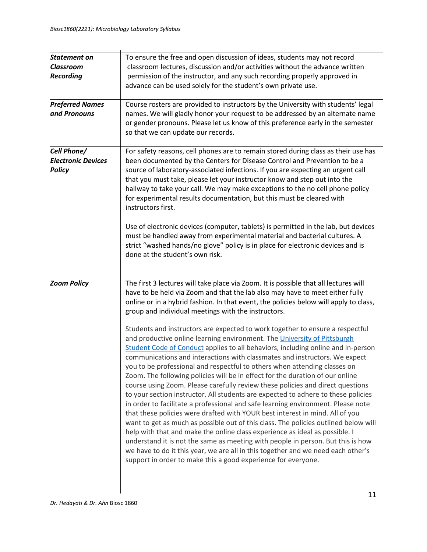| To ensure the free and open discussion of ideas, students may not record<br>classroom lectures, discussion and/or activities without the advance written<br>permission of the instructor, and any such recording properly approved in<br>advance can be used solely for the student's own private use.                                                                                                                                                                                                                                                                                                                                                                                                                                                                                                                                                                                                                                                                                                                                                                                                                                                                                                                                             |
|----------------------------------------------------------------------------------------------------------------------------------------------------------------------------------------------------------------------------------------------------------------------------------------------------------------------------------------------------------------------------------------------------------------------------------------------------------------------------------------------------------------------------------------------------------------------------------------------------------------------------------------------------------------------------------------------------------------------------------------------------------------------------------------------------------------------------------------------------------------------------------------------------------------------------------------------------------------------------------------------------------------------------------------------------------------------------------------------------------------------------------------------------------------------------------------------------------------------------------------------------|
| Course rosters are provided to instructors by the University with students' legal<br>names. We will gladly honor your request to be addressed by an alternate name<br>or gender pronouns. Please let us know of this preference early in the semester<br>so that we can update our records.                                                                                                                                                                                                                                                                                                                                                                                                                                                                                                                                                                                                                                                                                                                                                                                                                                                                                                                                                        |
| For safety reasons, cell phones are to remain stored during class as their use has<br>been documented by the Centers for Disease Control and Prevention to be a<br>source of laboratory-associated infections. If you are expecting an urgent call<br>that you must take, please let your instructor know and step out into the<br>hallway to take your call. We may make exceptions to the no cell phone policy<br>for experimental results documentation, but this must be cleared with<br>instructors first.                                                                                                                                                                                                                                                                                                                                                                                                                                                                                                                                                                                                                                                                                                                                    |
| Use of electronic devices (computer, tablets) is permitted in the lab, but devices<br>must be handled away from experimental material and bacterial cultures. A<br>strict "washed hands/no glove" policy is in place for electronic devices and is<br>done at the student's own risk.                                                                                                                                                                                                                                                                                                                                                                                                                                                                                                                                                                                                                                                                                                                                                                                                                                                                                                                                                              |
| The first 3 lectures will take place via Zoom. It is possible that all lectures will<br>have to be held via Zoom and that the lab also may have to meet either fully<br>online or in a hybrid fashion. In that event, the policies below will apply to class,<br>group and individual meetings with the instructors.                                                                                                                                                                                                                                                                                                                                                                                                                                                                                                                                                                                                                                                                                                                                                                                                                                                                                                                               |
| Students and instructors are expected to work together to ensure a respectful<br>and productive online learning environment. The University of Pittsburgh<br>Student Code of Conduct applies to all behaviors, including online and in-person<br>communications and interactions with classmates and instructors. We expect<br>you to be professional and respectful to others when attending classes on<br>Zoom. The following policies will be in effect for the duration of our online<br>course using Zoom. Please carefully review these policies and direct questions<br>to your section instructor. All students are expected to adhere to these policies<br>in order to facilitate a professional and safe learning environment. Please note<br>that these policies were drafted with YOUR best interest in mind. All of you<br>want to get as much as possible out of this class. The policies outlined below will<br>help with that and make the online class experience as ideal as possible. I<br>understand it is not the same as meeting with people in person. But this is how<br>we have to do it this year, we are all in this together and we need each other's<br>support in order to make this a good experience for everyone. |
|                                                                                                                                                                                                                                                                                                                                                                                                                                                                                                                                                                                                                                                                                                                                                                                                                                                                                                                                                                                                                                                                                                                                                                                                                                                    |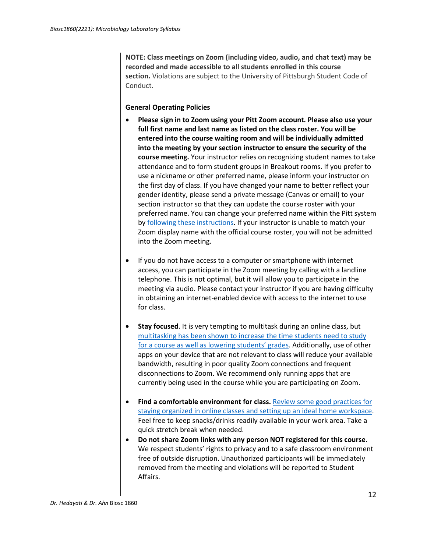**NOTE: Class meetings on Zoom (including video, audio, and chat text) may be recorded and made accessible to all students enrolled in this course section.** Violations are subject to the University of Pittsburgh Student Code of Conduct.

## **General Operating Policies**

- **Please sign in to Zoom using your Pitt Zoom account. Please also use your full first name and last name as listed on the class roster. You will be entered into the course waiting room and will be individually admitted into the meeting by your section instructor to ensure the security of the course meeting.** Your instructor relies on recognizing student names to take attendance and to form student groups in Breakout rooms. If you prefer to use a nickname or other preferred name, please inform your instructor on the first day of class. If you have changed your name to better reflect your gender identity, please send a private message (Canvas or email) to your section instructor so that they can update the course roster with your preferred name. You can change your preferred name within the Pitt system by [following these instructions.](https://www.registrar.pitt.edu/assets/pdf/Preferred%20Name%20Announcement.pdf) If your instructor is unable to match your Zoom display name with the official course roster, you will not be admitted into the Zoom meeting.
- If you do not have access to a computer or smartphone with internet access, you can participate in the Zoom meeting by calling with a landline telephone. This is not optimal, but it will allow you to participate in the meeting via audio. Please contact your instructor if you are having difficulty in obtaining an internet-enabled device with access to the internet to use for class.
- **Stay focused**. It is very tempting to multitask during an online class, but [multitasking has been shown to increase the time students need to study](https://today.uconn.edu/2015/07/multitasking-increases-study-time-lowers-grades/)  [for a course as well as lowering students' grades.](https://today.uconn.edu/2015/07/multitasking-increases-study-time-lowers-grades/) Additionally, use of other apps on your device that are not relevant to class will reduce your available bandwidth, resulting in poor quality Zoom connections and frequent disconnections to Zoom. We recommend only running apps that are currently being used in the course while you are participating on Zoom.
- **Find a comfortable environment for class.** [Review some good practices for](https://www.utep.edu/extendeduniversity/utepconnect/blog/april-2017/7-ways-to-organize-your-study-space-for-success.html)  [staying organized in online classes and setting up an ideal home workspace.](https://www.utep.edu/extendeduniversity/utepconnect/blog/april-2017/7-ways-to-organize-your-study-space-for-success.html) Feel free to keep snacks/drinks readily available in your work area. Take a quick stretch break when needed.
- **Do not share Zoom links with any person NOT registered for this course.**  We respect students' rights to privacy and to a safe classroom environment free of outside disruption. Unauthorized participants will be immediately removed from the meeting and violations will be reported to Student Affairs.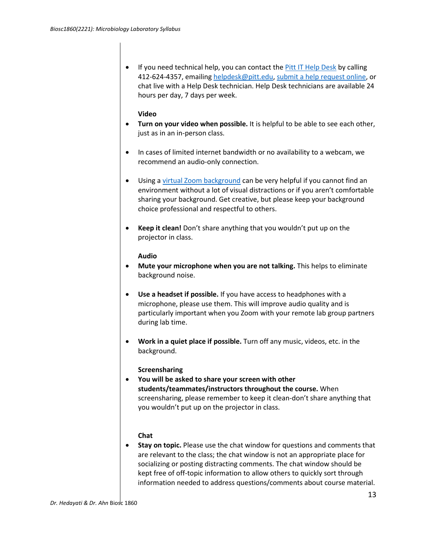• If you need technical help, you can contact the *Pitt IT Help Desk* by calling 412-624-4357, emailing [helpdesk@pitt.edu,](mailto:helpdesk@pitt.edu) [submit a help request online,](https://pitt.secure.force.com/ERMServiceDesk/FormCSSDServiceRequest) or chat live with a Help Desk technician. Help Desk technicians are available 24 hours per day, 7 days per week.

### **Video**

- **Turn on your video when possible.** It is helpful to be able to see each other, just as in an in-person class.
- In cases of limited internet bandwidth or no availability to a webcam, we recommend an audio-only connection.
- Using a [virtual Zoom background](https://support.zoom.us/hc/en-us/articles/210707503-Virtual-Background) can be very helpful if you cannot find an environment without a lot of visual distractions or if you aren't comfortable sharing your background. Get creative, but please keep your background choice professional and respectful to others.
- **Keep it clean!** Don't share anything that you wouldn't put up on the projector in class.

#### **Audio**

- **Mute your microphone when you are not talking.** This helps to eliminate background noise.
- **Use a headset if possible.** If you have access to headphones with a microphone, please use them. This will improve audio quality and is particularly important when you Zoom with your remote lab group partners during lab time.
- **Work in a quiet place if possible.** Turn off any music, videos, etc. in the background.

## **Screensharing**

• **You will be asked to share your screen with other students/teammates/instructors throughout the course.** When screensharing, please remember to keep it clean-don't share anything that you wouldn't put up on the projector in class.

## **Chat**

• **Stay on topic.** Please use the chat window for questions and comments that are relevant to the class; the chat window is not an appropriate place for socializing or posting distracting comments. The chat window should be kept free of off-topic information to allow others to quickly sort through information needed to address questions/comments about course material.